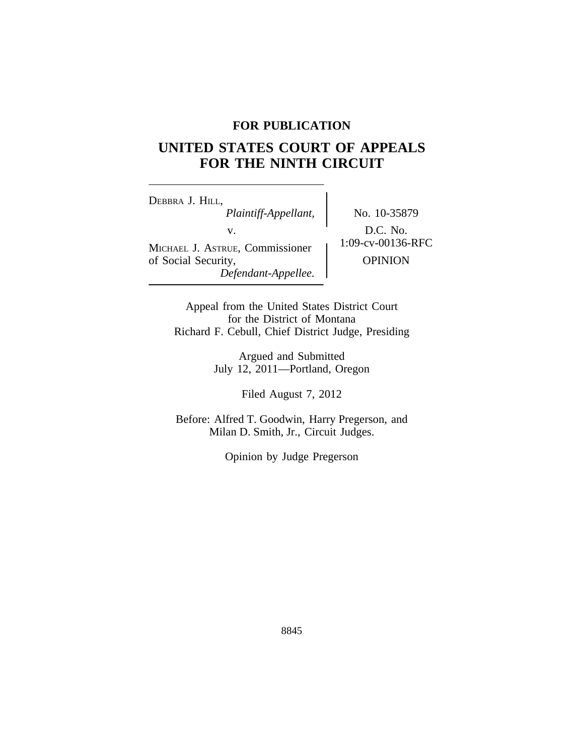# **FOR PUBLICATION**

# **UNITED STATES COURT OF APPEALS FOR THE NINTH CIRCUIT**

<sup>D</sup>EBBRA J. HILL, *Plaintiff-Appellant,* No. 10-35879 v.  $D.C. No.$ <br>Formissionar  $\left\{\n\begin{array}{c}\nD.C. No. \\
1:09-cv-00136-RFC\n\end{array}\n\right\}$ MICHAEL J. ASTRUE, Commissioner of Social Security,  $OPINION$ *Defendant-Appellee.*

Appeal from the United States District Court for the District of Montana Richard F. Cebull, Chief District Judge, Presiding

> Argued and Submitted July 12, 2011—Portland, Oregon

> > Filed August 7, 2012

Before: Alfred T. Goodwin, Harry Pregerson, and Milan D. Smith, Jr., Circuit Judges.

Opinion by Judge Pregerson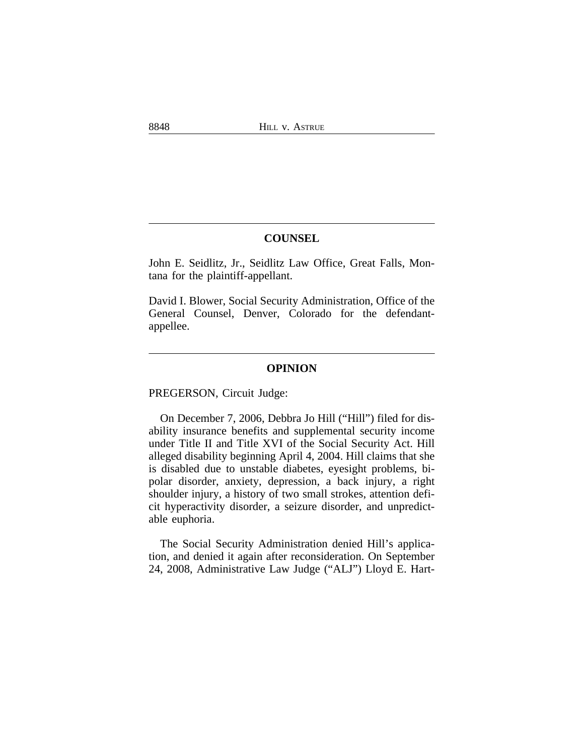## **COUNSEL**

John E. Seidlitz, Jr., Seidlitz Law Office, Great Falls, Montana for the plaintiff-appellant.

David I. Blower, Social Security Administration, Office of the General Counsel, Denver, Colorado for the defendantappellee.

## **OPINION**

PREGERSON, Circuit Judge:

On December 7, 2006, Debbra Jo Hill ("Hill") filed for disability insurance benefits and supplemental security income under Title II and Title XVI of the Social Security Act. Hill alleged disability beginning April 4, 2004. Hill claims that she is disabled due to unstable diabetes, eyesight problems, bipolar disorder, anxiety, depression, a back injury, a right shoulder injury, a history of two small strokes, attention deficit hyperactivity disorder, a seizure disorder, and unpredictable euphoria.

The Social Security Administration denied Hill's application, and denied it again after reconsideration. On September 24, 2008, Administrative Law Judge ("ALJ") Lloyd E. Hart-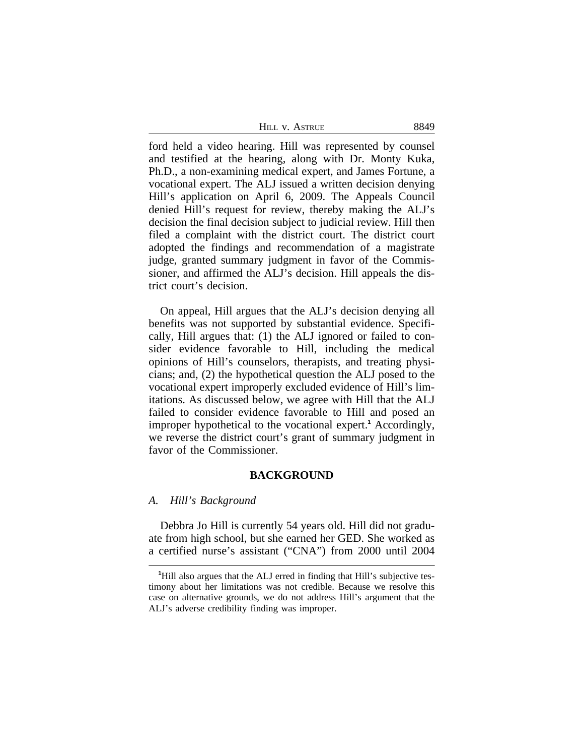| HILL V. ASTRUE | 8849 |
|----------------|------|
|----------------|------|

ford held a video hearing. Hill was represented by counsel and testified at the hearing, along with Dr. Monty Kuka, Ph.D., a non-examining medical expert, and James Fortune, a vocational expert. The ALJ issued a written decision denying Hill's application on April 6, 2009. The Appeals Council denied Hill's request for review, thereby making the ALJ's decision the final decision subject to judicial review. Hill then filed a complaint with the district court. The district court adopted the findings and recommendation of a magistrate judge, granted summary judgment in favor of the Commissioner, and affirmed the ALJ's decision. Hill appeals the district court's decision.

On appeal, Hill argues that the ALJ's decision denying all benefits was not supported by substantial evidence. Specifically, Hill argues that: (1) the ALJ ignored or failed to consider evidence favorable to Hill, including the medical opinions of Hill's counselors, therapists, and treating physicians; and, (2) the hypothetical question the ALJ posed to the vocational expert improperly excluded evidence of Hill's limitations. As discussed below, we agree with Hill that the ALJ failed to consider evidence favorable to Hill and posed an improper hypothetical to the vocational expert.**<sup>1</sup>** Accordingly, we reverse the district court's grant of summary judgment in favor of the Commissioner.

## **BACKGROUND**

#### *A. Hill's Background*

Debbra Jo Hill is currently 54 years old. Hill did not graduate from high school, but she earned her GED. She worked as a certified nurse's assistant ("CNA") from 2000 until 2004

<sup>&</sup>lt;sup>1</sup>Hill also argues that the ALJ erred in finding that Hill's subjective testimony about her limitations was not credible. Because we resolve this case on alternative grounds, we do not address Hill's argument that the ALJ's adverse credibility finding was improper.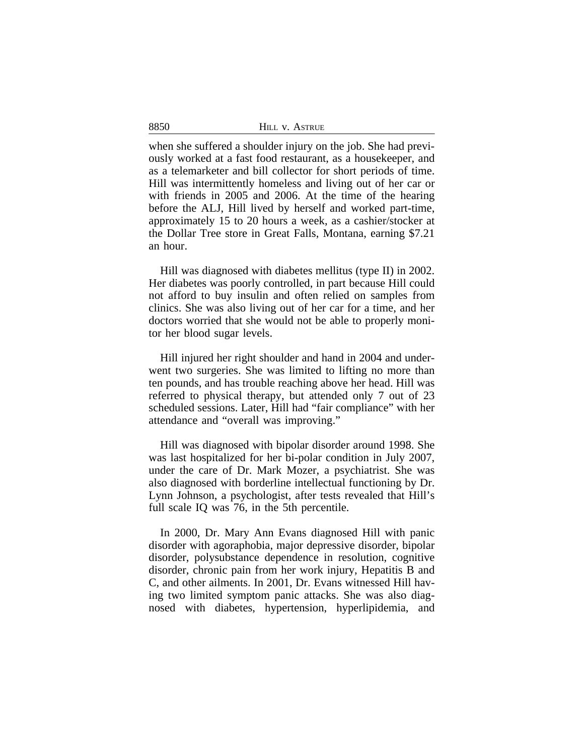when she suffered a shoulder injury on the job. She had previously worked at a fast food restaurant, as a housekeeper, and as a telemarketer and bill collector for short periods of time. Hill was intermittently homeless and living out of her car or with friends in 2005 and 2006. At the time of the hearing before the ALJ, Hill lived by herself and worked part-time, approximately 15 to 20 hours a week, as a cashier/stocker at the Dollar Tree store in Great Falls, Montana, earning \$7.21 an hour.

Hill was diagnosed with diabetes mellitus (type II) in 2002. Her diabetes was poorly controlled, in part because Hill could not afford to buy insulin and often relied on samples from clinics. She was also living out of her car for a time, and her doctors worried that she would not be able to properly monitor her blood sugar levels.

Hill injured her right shoulder and hand in 2004 and underwent two surgeries. She was limited to lifting no more than ten pounds, and has trouble reaching above her head. Hill was referred to physical therapy, but attended only 7 out of 23 scheduled sessions. Later, Hill had "fair compliance" with her attendance and "overall was improving."

Hill was diagnosed with bipolar disorder around 1998. She was last hospitalized for her bi-polar condition in July 2007, under the care of Dr. Mark Mozer, a psychiatrist. She was also diagnosed with borderline intellectual functioning by Dr. Lynn Johnson, a psychologist, after tests revealed that Hill's full scale IQ was 76, in the 5th percentile.

In 2000, Dr. Mary Ann Evans diagnosed Hill with panic disorder with agoraphobia, major depressive disorder, bipolar disorder, polysubstance dependence in resolution, cognitive disorder, chronic pain from her work injury, Hepatitis B and C, and other ailments. In 2001, Dr. Evans witnessed Hill having two limited symptom panic attacks. She was also diagnosed with diabetes, hypertension, hyperlipidemia, and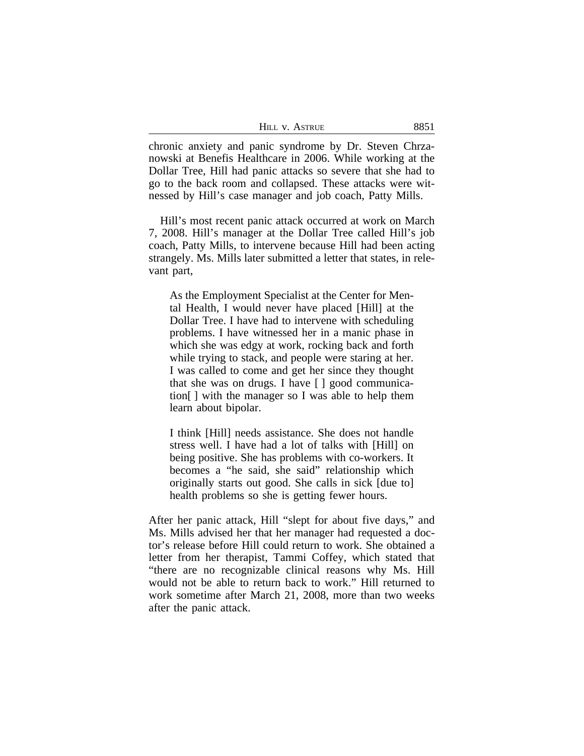| $H\text{ILL}$<br><b>V. ASTRUE</b> | QQZ1<br>ററ.ു |
|-----------------------------------|--------------|
|-----------------------------------|--------------|

chronic anxiety and panic syndrome by Dr. Steven Chrzanowski at Benefis Healthcare in 2006. While working at the Dollar Tree, Hill had panic attacks so severe that she had to go to the back room and collapsed. These attacks were witnessed by Hill's case manager and job coach, Patty Mills.

Hill's most recent panic attack occurred at work on March 7, 2008. Hill's manager at the Dollar Tree called Hill's job coach, Patty Mills, to intervene because Hill had been acting strangely. Ms. Mills later submitted a letter that states, in relevant part,

As the Employment Specialist at the Center for Mental Health, I would never have placed [Hill] at the Dollar Tree. I have had to intervene with scheduling problems. I have witnessed her in a manic phase in which she was edgy at work, rocking back and forth while trying to stack, and people were staring at her. I was called to come and get her since they thought that she was on drugs. I have [ ] good communication[ ] with the manager so I was able to help them learn about bipolar.

I think [Hill] needs assistance. She does not handle stress well. I have had a lot of talks with [Hill] on being positive. She has problems with co-workers. It becomes a "he said, she said" relationship which originally starts out good. She calls in sick [due to] health problems so she is getting fewer hours.

After her panic attack, Hill "slept for about five days," and Ms. Mills advised her that her manager had requested a doctor's release before Hill could return to work. She obtained a letter from her therapist, Tammi Coffey, which stated that "there are no recognizable clinical reasons why Ms. Hill would not be able to return back to work." Hill returned to work sometime after March 21, 2008, more than two weeks after the panic attack.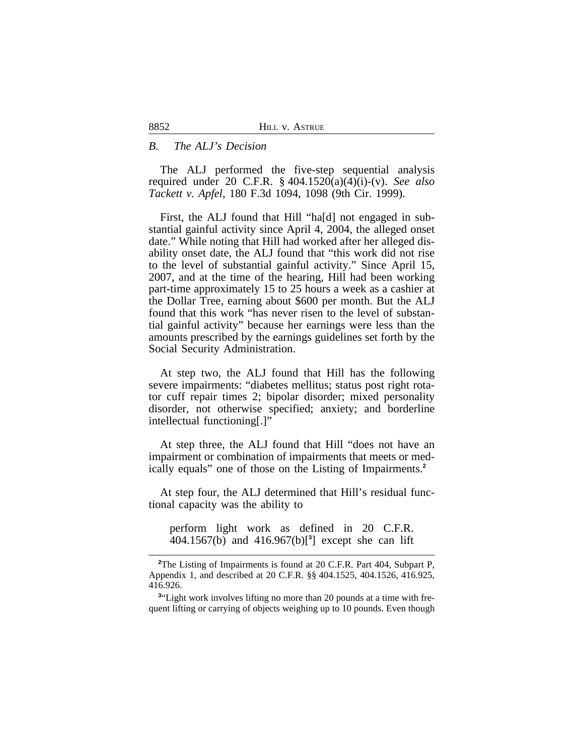|  | HILL V. ASTRUE |
|--|----------------|
|  |                |

#### *B. The ALJ's Decision*

The ALJ performed the five-step sequential analysis required under 20 C.F.R. § 404.1520(a)(4)(i)-(v). *See also Tackett v. Apfel*, 180 F.3d 1094, 1098 (9th Cir. 1999).

First, the ALJ found that Hill "ha[d] not engaged in substantial gainful activity since April 4, 2004, the alleged onset date." While noting that Hill had worked after her alleged disability onset date, the ALJ found that "this work did not rise to the level of substantial gainful activity." Since April 15, 2007, and at the time of the hearing, Hill had been working part-time approximately 15 to 25 hours a week as a cashier at the Dollar Tree, earning about \$600 per month. But the ALJ found that this work "has never risen to the level of substantial gainful activity" because her earnings were less than the amounts prescribed by the earnings guidelines set forth by the Social Security Administration.

At step two, the ALJ found that Hill has the following severe impairments: "diabetes mellitus; status post right rotator cuff repair times 2; bipolar disorder; mixed personality disorder, not otherwise specified; anxiety; and borderline intellectual functioning[.]"

At step three, the ALJ found that Hill "does not have an impairment or combination of impairments that meets or medically equals" one of those on the Listing of Impairments.**<sup>2</sup>**

At step four, the ALJ determined that Hill's residual functional capacity was the ability to

perform light work as defined in 20 C.F.R. 404.1567(b) and 416.967(b)[**<sup>3</sup>** ] except she can lift

**<sup>2</sup>**The Listing of Impairments is found at 20 C.F.R. Part 404, Subpart P, Appendix 1, and described at 20 C.F.R. §§ 404.1525, 404.1526, 416.925, 416.926.

<sup>&</sup>lt;sup>3</sup>"Light work involves lifting no more than 20 pounds at a time with frequent lifting or carrying of objects weighing up to 10 pounds. Even though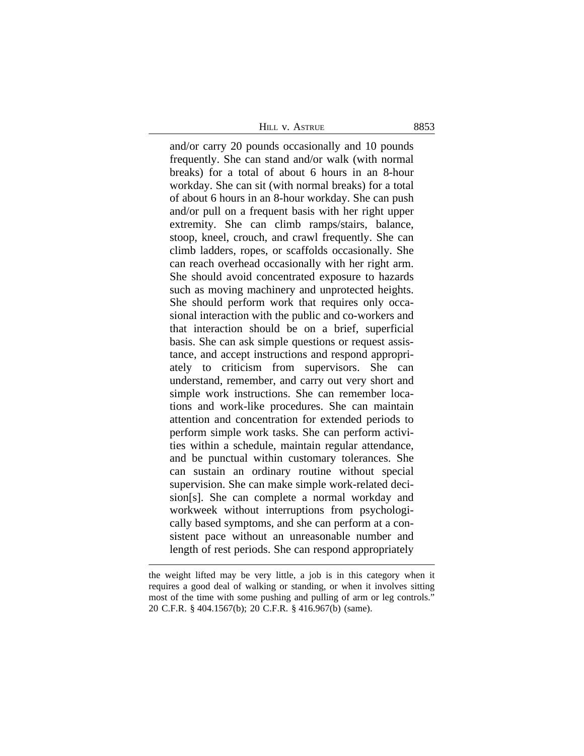HILL V. ASTRUE 8853

and/or carry 20 pounds occasionally and 10 pounds frequently. She can stand and/or walk (with normal breaks) for a total of about 6 hours in an 8-hour workday. She can sit (with normal breaks) for a total of about 6 hours in an 8-hour workday. She can push and/or pull on a frequent basis with her right upper extremity. She can climb ramps/stairs, balance, stoop, kneel, crouch, and crawl frequently. She can climb ladders, ropes, or scaffolds occasionally. She can reach overhead occasionally with her right arm. She should avoid concentrated exposure to hazards such as moving machinery and unprotected heights. She should perform work that requires only occasional interaction with the public and co-workers and that interaction should be on a brief, superficial basis. She can ask simple questions or request assistance, and accept instructions and respond appropriately to criticism from supervisors. She can understand, remember, and carry out very short and simple work instructions. She can remember locations and work-like procedures. She can maintain attention and concentration for extended periods to perform simple work tasks. She can perform activities within a schedule, maintain regular attendance, and be punctual within customary tolerances. She can sustain an ordinary routine without special supervision. She can make simple work-related decision[s]. She can complete a normal workday and workweek without interruptions from psychologically based symptoms, and she can perform at a consistent pace without an unreasonable number and length of rest periods. She can respond appropriately

the weight lifted may be very little, a job is in this category when it requires a good deal of walking or standing, or when it involves sitting most of the time with some pushing and pulling of arm or leg controls." 20 C.F.R. § 404.1567(b); 20 C.F.R. § 416.967(b) (same).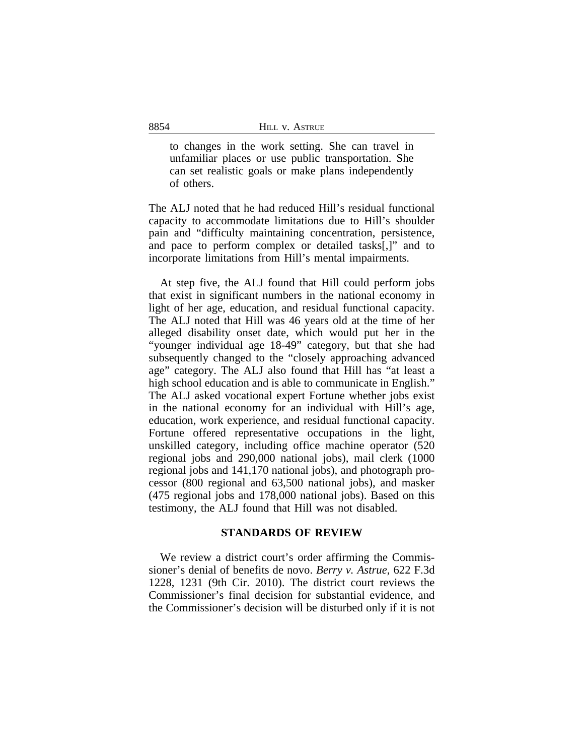to changes in the work setting. She can travel in unfamiliar places or use public transportation. She can set realistic goals or make plans independently of others.

The ALJ noted that he had reduced Hill's residual functional capacity to accommodate limitations due to Hill's shoulder pain and "difficulty maintaining concentration, persistence, and pace to perform complex or detailed tasks[,]" and to incorporate limitations from Hill's mental impairments.

At step five, the ALJ found that Hill could perform jobs that exist in significant numbers in the national economy in light of her age, education, and residual functional capacity. The ALJ noted that Hill was 46 years old at the time of her alleged disability onset date, which would put her in the "younger individual age 18-49" category, but that she had subsequently changed to the "closely approaching advanced age" category. The ALJ also found that Hill has "at least a high school education and is able to communicate in English." The ALJ asked vocational expert Fortune whether jobs exist in the national economy for an individual with Hill's age, education, work experience, and residual functional capacity. Fortune offered representative occupations in the light, unskilled category, including office machine operator (520 regional jobs and 290,000 national jobs), mail clerk (1000 regional jobs and 141,170 national jobs), and photograph processor (800 regional and 63,500 national jobs), and masker (475 regional jobs and 178,000 national jobs). Based on this testimony, the ALJ found that Hill was not disabled.

## **STANDARDS OF REVIEW**

We review a district court's order affirming the Commissioner's denial of benefits de novo. *Berry v. Astrue*, 622 F.3d 1228, 1231 (9th Cir. 2010). The district court reviews the Commissioner's final decision for substantial evidence, and the Commissioner's decision will be disturbed only if it is not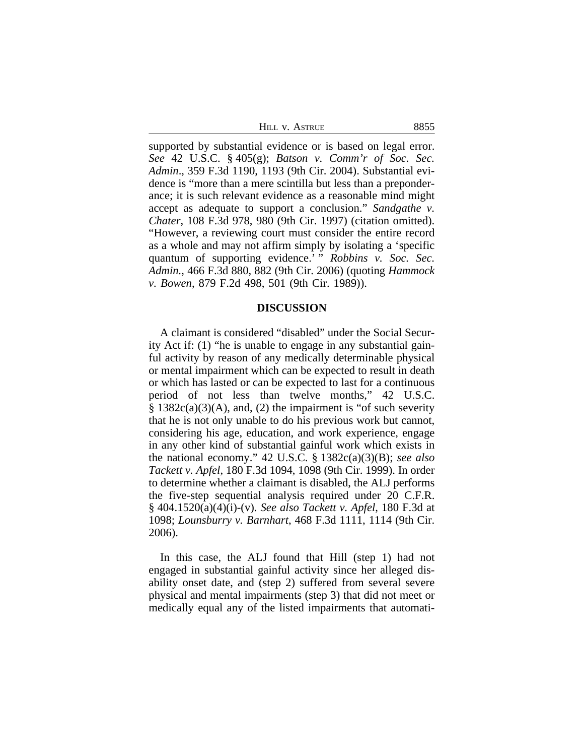|  | <b>HILL V. ASTRUE</b> |  |
|--|-----------------------|--|
|--|-----------------------|--|

8855

supported by substantial evidence or is based on legal error. *See* 42 U.S.C. § 405(g); *Batson v. Comm'r of Soc. Sec. Admin*., 359 F.3d 1190, 1193 (9th Cir. 2004). Substantial evidence is "more than a mere scintilla but less than a preponderance; it is such relevant evidence as a reasonable mind might accept as adequate to support a conclusion." *Sandgathe v. Chater*, 108 F.3d 978, 980 (9th Cir. 1997) (citation omitted). "However, a reviewing court must consider the entire record as a whole and may not affirm simply by isolating a 'specific quantum of supporting evidence.' " *Robbins v. Soc. Sec. Admin.*, 466 F.3d 880, 882 (9th Cir. 2006) (quoting *Hammock v. Bowen*, 879 F.2d 498, 501 (9th Cir. 1989)).

#### **DISCUSSION**

A claimant is considered "disabled" under the Social Security Act if: (1) "he is unable to engage in any substantial gainful activity by reason of any medically determinable physical or mental impairment which can be expected to result in death or which has lasted or can be expected to last for a continuous period of not less than twelve months," 42 U.S.C.  $§ 1382c(a)(3)(A)$ , and, (2) the impairment is "of such severity that he is not only unable to do his previous work but cannot, considering his age, education, and work experience, engage in any other kind of substantial gainful work which exists in the national economy." 42 U.S.C. § 1382c(a)(3)(B); *see also Tackett v. Apfel*, 180 F.3d 1094, 1098 (9th Cir. 1999). In order to determine whether a claimant is disabled, the ALJ performs the five-step sequential analysis required under 20 C.F.R. § 404.1520(a)(4)(i)-(v). *See also Tackett v. Apfel*, 180 F.3d at 1098; *Lounsburry v. Barnhart*, 468 F.3d 1111, 1114 (9th Cir. 2006).

In this case, the ALJ found that Hill (step 1) had not engaged in substantial gainful activity since her alleged disability onset date, and (step 2) suffered from several severe physical and mental impairments (step 3) that did not meet or medically equal any of the listed impairments that automati-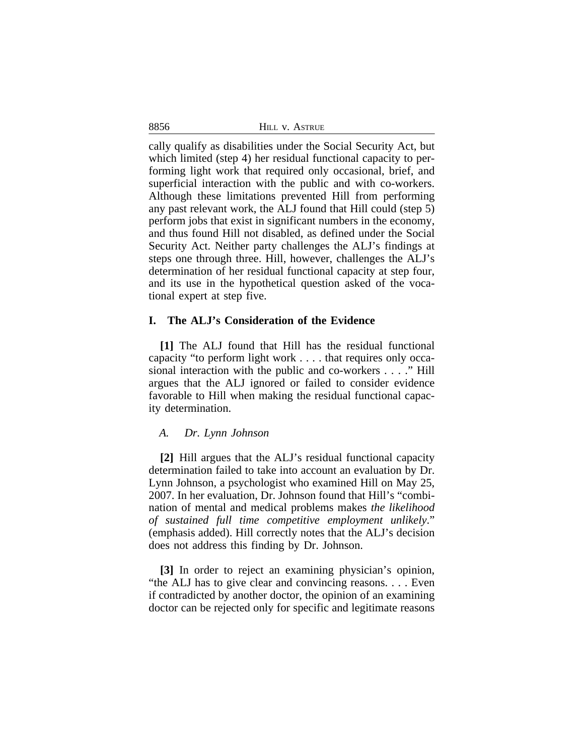cally qualify as disabilities under the Social Security Act, but which limited (step 4) her residual functional capacity to performing light work that required only occasional, brief, and superficial interaction with the public and with co-workers. Although these limitations prevented Hill from performing any past relevant work, the ALJ found that Hill could (step 5) perform jobs that exist in significant numbers in the economy, and thus found Hill not disabled, as defined under the Social Security Act. Neither party challenges the ALJ's findings at steps one through three. Hill, however, challenges the ALJ's determination of her residual functional capacity at step four, and its use in the hypothetical question asked of the vocational expert at step five.

## **I. The ALJ's Consideration of the Evidence**

**[1]** The ALJ found that Hill has the residual functional capacity "to perform light work . . . . that requires only occasional interaction with the public and co-workers . . . ." Hill argues that the ALJ ignored or failed to consider evidence favorable to Hill when making the residual functional capacity determination.

#### *A. Dr. Lynn Johnson*

8856

**[2]** Hill argues that the ALJ's residual functional capacity determination failed to take into account an evaluation by Dr. Lynn Johnson, a psychologist who examined Hill on May 25, 2007. In her evaluation, Dr. Johnson found that Hill's "combination of mental and medical problems makes *the likelihood of sustained full time competitive employment unlikely*." (emphasis added). Hill correctly notes that the ALJ's decision does not address this finding by Dr. Johnson.

**[3]** In order to reject an examining physician's opinion, "the ALJ has to give clear and convincing reasons. . . . Even if contradicted by another doctor, the opinion of an examining doctor can be rejected only for specific and legitimate reasons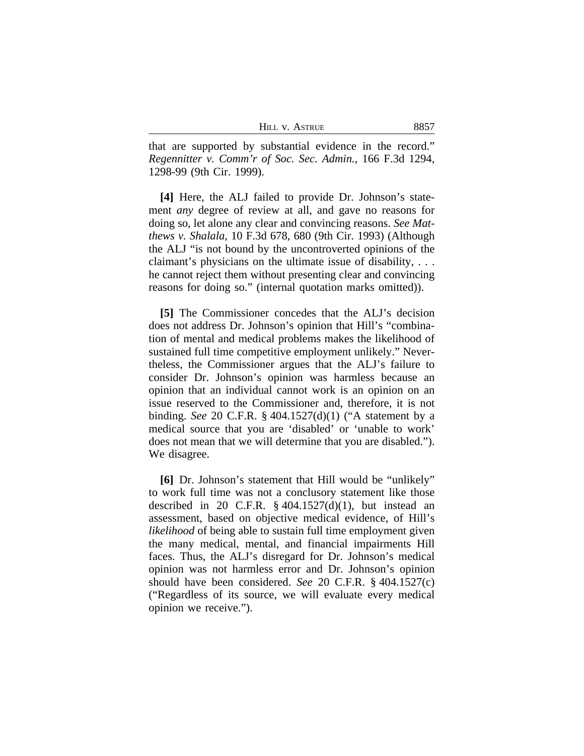| HILL V. ASTRUE | 8857 |
|----------------|------|
|----------------|------|

that are supported by substantial evidence in the record." *Regennitter v. Comm'r of Soc. Sec. Admin.*, 166 F.3d 1294, 1298-99 (9th Cir. 1999).

**[4]** Here, the ALJ failed to provide Dr. Johnson's statement *any* degree of review at all, and gave no reasons for doing so, let alone any clear and convincing reasons. *See Matthews v. Shalala*, 10 F.3d 678, 680 (9th Cir. 1993) (Although the ALJ "is not bound by the uncontroverted opinions of the claimant's physicians on the ultimate issue of disability, . . . he cannot reject them without presenting clear and convincing reasons for doing so." (internal quotation marks omitted)).

**[5]** The Commissioner concedes that the ALJ's decision does not address Dr. Johnson's opinion that Hill's "combination of mental and medical problems makes the likelihood of sustained full time competitive employment unlikely." Nevertheless, the Commissioner argues that the ALJ's failure to consider Dr. Johnson's opinion was harmless because an opinion that an individual cannot work is an opinion on an issue reserved to the Commissioner and, therefore, it is not binding. *See* 20 C.F.R. § 404.1527(d)(1) ("A statement by a medical source that you are 'disabled' or 'unable to work' does not mean that we will determine that you are disabled."). We disagree.

**[6]** Dr. Johnson's statement that Hill would be "unlikely" to work full time was not a conclusory statement like those described in 20 C.F.R.  $\S$  404.1527(d)(1), but instead an assessment, based on objective medical evidence, of Hill's *likelihood* of being able to sustain full time employment given the many medical, mental, and financial impairments Hill faces. Thus, the ALJ's disregard for Dr. Johnson's medical opinion was not harmless error and Dr. Johnson's opinion should have been considered. *See* 20 C.F.R. § 404.1527(c) ("Regardless of its source, we will evaluate every medical opinion we receive.").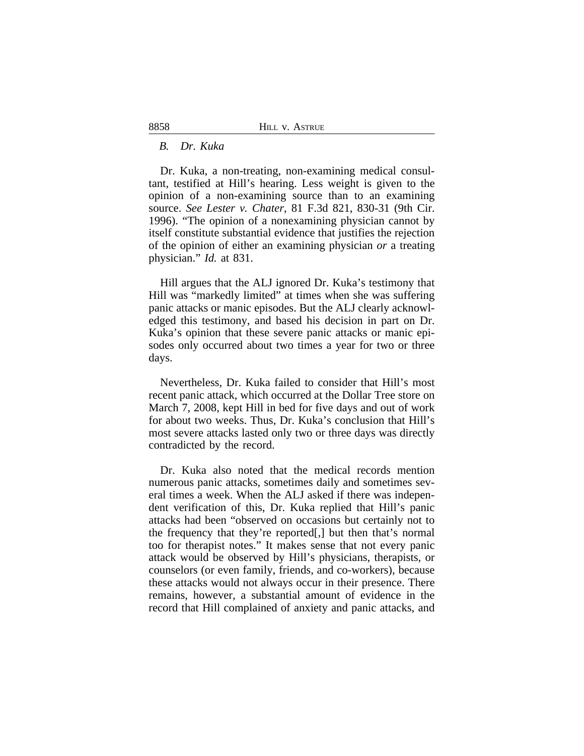#### *B. Dr. Kuka*

Dr. Kuka, a non-treating, non-examining medical consultant, testified at Hill's hearing. Less weight is given to the opinion of a non-examining source than to an examining source. *See Lester v. Chater*, 81 F.3d 821, 830-31 (9th Cir. 1996). "The opinion of a nonexamining physician cannot by itself constitute substantial evidence that justifies the rejection of the opinion of either an examining physician *or* a treating physician." *Id.* at 831.

Hill argues that the ALJ ignored Dr. Kuka's testimony that Hill was "markedly limited" at times when she was suffering panic attacks or manic episodes. But the ALJ clearly acknowledged this testimony, and based his decision in part on Dr. Kuka's opinion that these severe panic attacks or manic episodes only occurred about two times a year for two or three days.

Nevertheless, Dr. Kuka failed to consider that Hill's most recent panic attack, which occurred at the Dollar Tree store on March 7, 2008, kept Hill in bed for five days and out of work for about two weeks. Thus, Dr. Kuka's conclusion that Hill's most severe attacks lasted only two or three days was directly contradicted by the record.

Dr. Kuka also noted that the medical records mention numerous panic attacks, sometimes daily and sometimes several times a week. When the ALJ asked if there was independent verification of this, Dr. Kuka replied that Hill's panic attacks had been "observed on occasions but certainly not to the frequency that they're reported[,] but then that's normal too for therapist notes." It makes sense that not every panic attack would be observed by Hill's physicians, therapists, or counselors (or even family, friends, and co-workers), because these attacks would not always occur in their presence. There remains, however, a substantial amount of evidence in the record that Hill complained of anxiety and panic attacks, and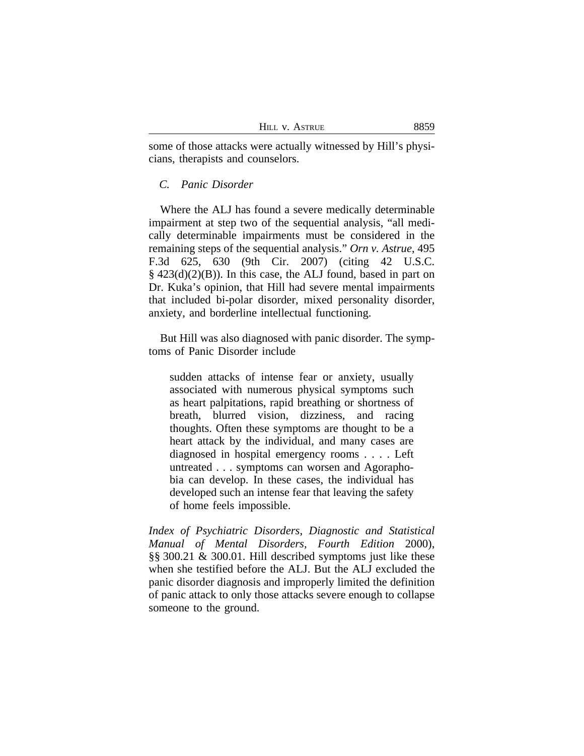| HILL V. ASTRUE | 8859 |
|----------------|------|
|----------------|------|

some of those attacks were actually witnessed by Hill's physicians, therapists and counselors.

## *C. Panic Disorder*

Where the ALJ has found a severe medically determinable impairment at step two of the sequential analysis, "all medically determinable impairments must be considered in the remaining steps of the sequential analysis." *Orn v. Astrue*, 495 F.3d 625, 630 (9th Cir. 2007) (citing 42 U.S.C.  $\S$  423(d)(2)(B)). In this case, the ALJ found, based in part on Dr. Kuka's opinion, that Hill had severe mental impairments that included bi-polar disorder, mixed personality disorder, anxiety, and borderline intellectual functioning.

But Hill was also diagnosed with panic disorder. The symptoms of Panic Disorder include

sudden attacks of intense fear or anxiety, usually associated with numerous physical symptoms such as heart palpitations, rapid breathing or shortness of breath, blurred vision, dizziness, and racing thoughts. Often these symptoms are thought to be a heart attack by the individual, and many cases are diagnosed in hospital emergency rooms . . . . Left untreated . . . symptoms can worsen and Agoraphobia can develop. In these cases, the individual has developed such an intense fear that leaving the safety of home feels impossible.

*Index of Psychiatric Disorders*, *Diagnostic and Statistical Manual of Mental Disorders*, *Fourth Edition* 2000), §§ 300.21 & 300.01. Hill described symptoms just like these when she testified before the ALJ. But the ALJ excluded the panic disorder diagnosis and improperly limited the definition of panic attack to only those attacks severe enough to collapse someone to the ground.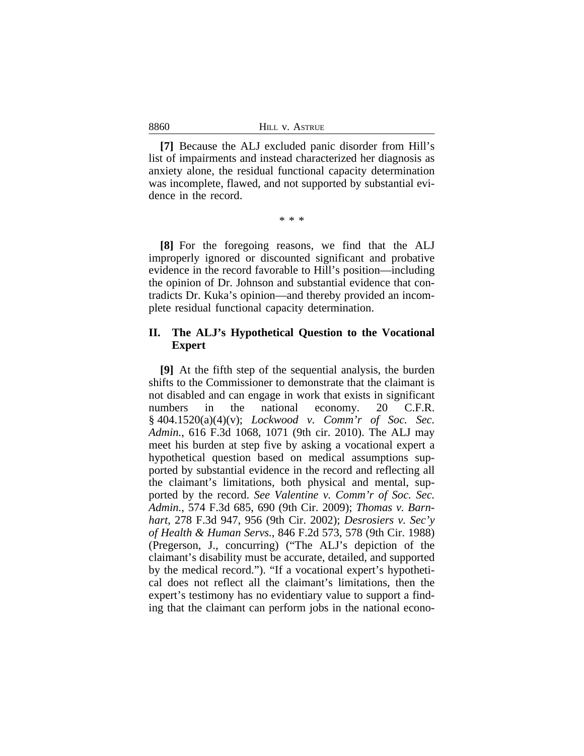8860 HILL V. ASTRUE

**[7]** Because the ALJ excluded panic disorder from Hill's list of impairments and instead characterized her diagnosis as anxiety alone, the residual functional capacity determination was incomplete, flawed, and not supported by substantial evidence in the record.

\* \* \*

**[8]** For the foregoing reasons, we find that the ALJ improperly ignored or discounted significant and probative evidence in the record favorable to Hill's position—including the opinion of Dr. Johnson and substantial evidence that contradicts Dr. Kuka's opinion—and thereby provided an incomplete residual functional capacity determination.

## **II. The ALJ's Hypothetical Question to the Vocational Expert**

**[9]** At the fifth step of the sequential analysis, the burden shifts to the Commissioner to demonstrate that the claimant is not disabled and can engage in work that exists in significant numbers in the national economy. 20 C.F.R. § 404.1520(a)(4)(v); *Lockwood v. Comm'r of Soc. Sec. Admin.*, 616 F.3d 1068, 1071 (9th cir. 2010). The ALJ may meet his burden at step five by asking a vocational expert a hypothetical question based on medical assumptions supported by substantial evidence in the record and reflecting all the claimant's limitations, both physical and mental, supported by the record. *See Valentine v. Comm'r of Soc. Sec. Admin.*, 574 F.3d 685, 690 (9th Cir. 2009); *Thomas v. Barnhart*, 278 F.3d 947, 956 (9th Cir. 2002); *Desrosiers v. Sec'y of Health & Human Servs.*, 846 F.2d 573, 578 (9th Cir. 1988) (Pregerson, J., concurring) ("The ALJ's depiction of the claimant's disability must be accurate, detailed, and supported by the medical record."). "If a vocational expert's hypothetical does not reflect all the claimant's limitations, then the expert's testimony has no evidentiary value to support a finding that the claimant can perform jobs in the national econo-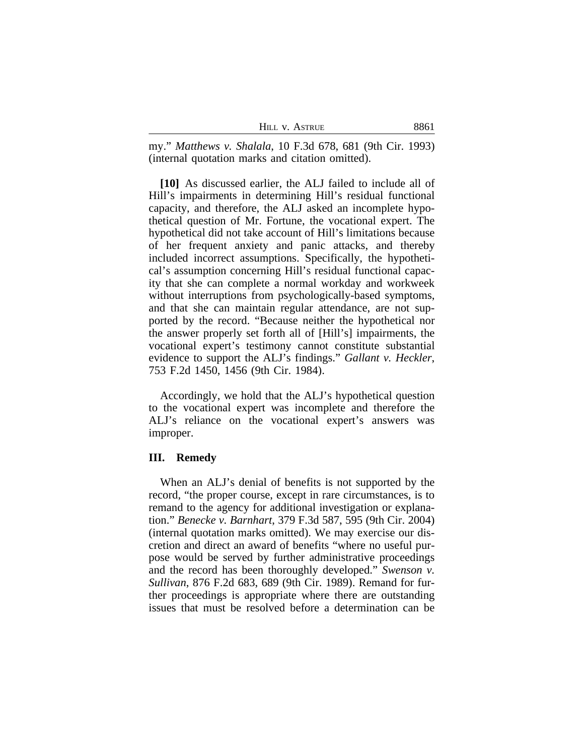| HILL V. ASTRUE | 8861 |
|----------------|------|
|                |      |

my." *Matthews v. Shalala*, 10 F.3d 678, 681 (9th Cir. 1993) (internal quotation marks and citation omitted).

**[10]** As discussed earlier, the ALJ failed to include all of Hill's impairments in determining Hill's residual functional capacity, and therefore, the ALJ asked an incomplete hypothetical question of Mr. Fortune, the vocational expert. The hypothetical did not take account of Hill's limitations because of her frequent anxiety and panic attacks, and thereby included incorrect assumptions. Specifically, the hypothetical's assumption concerning Hill's residual functional capacity that she can complete a normal workday and workweek without interruptions from psychologically-based symptoms, and that she can maintain regular attendance, are not supported by the record. "Because neither the hypothetical nor the answer properly set forth all of [Hill's] impairments, the vocational expert's testimony cannot constitute substantial evidence to support the ALJ's findings." *Gallant v. Heckler*, 753 F.2d 1450, 1456 (9th Cir. 1984).

Accordingly, we hold that the ALJ's hypothetical question to the vocational expert was incomplete and therefore the ALJ's reliance on the vocational expert's answers was improper.

#### **III. Remedy**

When an ALJ's denial of benefits is not supported by the record, "the proper course, except in rare circumstances, is to remand to the agency for additional investigation or explanation." *Benecke v. Barnhart*, 379 F.3d 587, 595 (9th Cir. 2004) (internal quotation marks omitted). We may exercise our discretion and direct an award of benefits "where no useful purpose would be served by further administrative proceedings and the record has been thoroughly developed." *Swenson v. Sullivan*, 876 F.2d 683, 689 (9th Cir. 1989). Remand for further proceedings is appropriate where there are outstanding issues that must be resolved before a determination can be